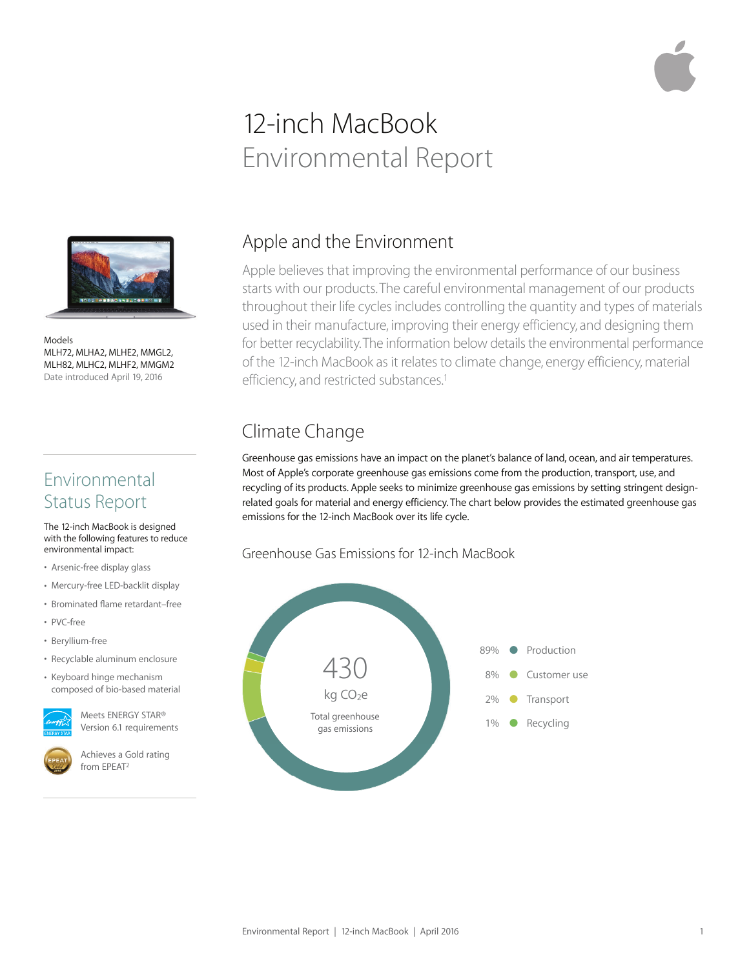# 12-inch MacBook Environmental Report



Models MLH72, MLHA2, MLHE2, MMGL2, MLH82, MLHC2, MLHF2, MMGM2 Date introduced April 19, 2016

### Environmental Status Report

#### The 12-inch MacBook is designed with the following features to reduce environmental impact:

- Arsenic-free display glass
- Mercury-free LED-backlit display
- Brominated flame retardant–free
- PVC-free
- Beryllium-free
- Recyclable aluminum enclosure
- Keyboard hinge mechanism composed of bio-based material



Meets ENERGY STAR® Version 6.1 requirements



Achieves a Gold rating from EPEAT2

# Apple and the Environment

Apple believes that improving the environmental performance of our business starts with our products. The careful environmental management of our products throughout their life cycles includes controlling the quantity and types of materials used in their manufacture, improving their energy efficiency, and designing them for better recyclability. The information below details the environmental performance of the 12-inch MacBook as it relates to climate change, energy efficiency, material efficiency, and restricted substances.<sup>1</sup>

# Climate Change

Greenhouse gas emissions have an impact on the planet's balance of land, ocean, and air temperatures. Most of Apple's corporate greenhouse gas emissions come from the production, transport, use, and recycling of its products. Apple seeks to minimize greenhouse gas emissions by setting stringent designrelated goals for material and energy efficiency. The chart below provides the estimated greenhouse gas emissions for the 12-inch MacBook over its life cycle.

#### Greenhouse Gas Emissions for 12-inch MacBook

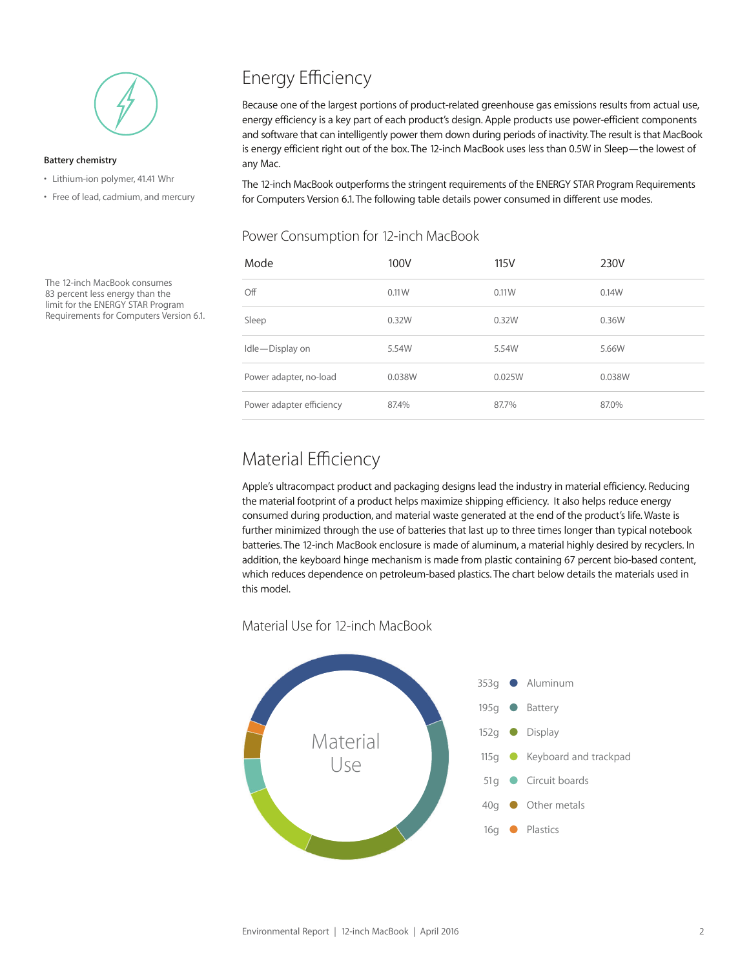

#### **Battery chemistry**

- Lithium-ion polymer, 41.41 Whr
- Free of lead, cadmium, and mercury

The 12-inch MacBook consumes 83 percent less energy than the limit for the ENERGY STAR Program Requirements for Computers Version 6.1.

# Energy Efficiency

Because one of the largest portions of product-related greenhouse gas emissions results from actual use, energy efficiency is a key part of each product's design. Apple products use power-efficient components and software that can intelligently power them down during periods of inactivity. The result is that MacBook is energy efficient right out of the box. The 12-inch MacBook uses less than 0.5W in Sleep—the lowest of any Mac.

The 12-inch MacBook outperforms the stringent requirements of the ENERGY STAR Program Requirements for Computers Version 6.1. The following table details power consumed in different use modes.

#### Power Consumption for 12-inch MacBook

| Mode                     | 100V   | 115V   | 230V   |
|--------------------------|--------|--------|--------|
| Off                      | 0.11W  | 0.11W  | 0.14W  |
| Sleep                    | 0.32W  | 0.32W  | 0.36W  |
| Idle-Display on          | 5.54W  | 5.54W  | 5.66W  |
| Power adapter, no-load   | 0.038W | 0.025W | 0.038W |
| Power adapter efficiency | 87.4%  | 87.7%  | 87.0%  |

### Material Efficiency

Apple's ultracompact product and packaging designs lead the industry in material efficiency. Reducing the material footprint of a product helps maximize shipping efficiency. It also helps reduce energy consumed during production, and material waste generated at the end of the product's life. Waste is further minimized through the use of batteries that last up to three times longer than typical notebook batteries. The 12-inch MacBook enclosure is made of aluminum, a material highly desired by recyclers. In addition, the keyboard hinge mechanism is made from plastic containing 67 percent bio-based content, which reduces dependence on petroleum-based plastics. The chart below details the materials used in this model.

Material Use for 12-inch MacBook

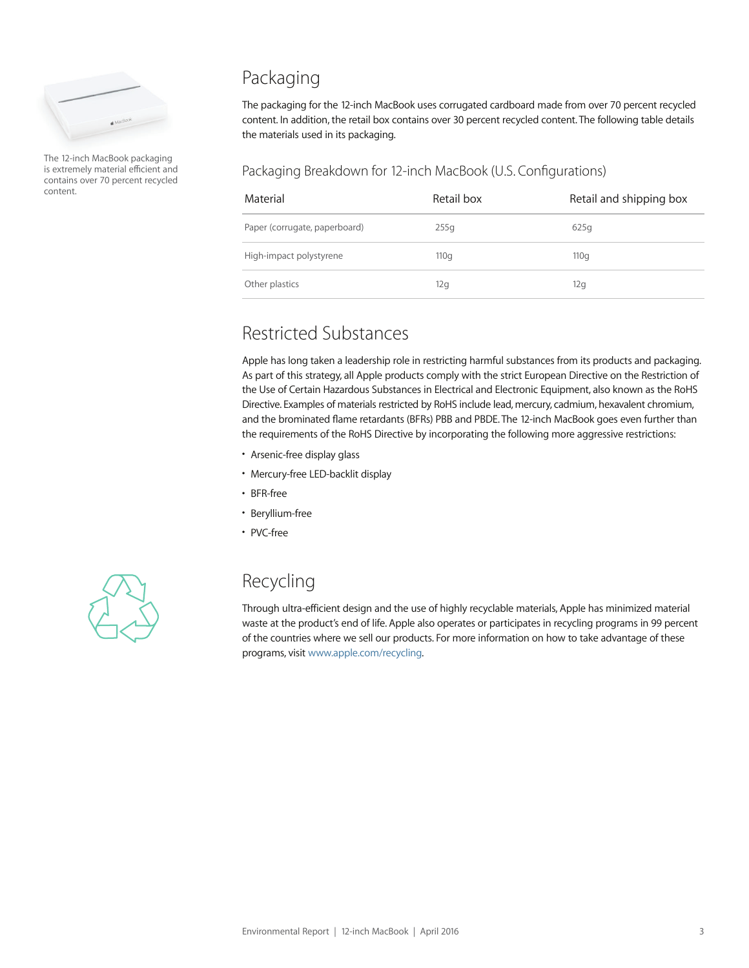

The 12-inch MacBook packaging is extremely material efficient and contains over 70 percent recycled content.

# Packaging

The packaging for the 12-inch MacBook uses corrugated cardboard made from over 70 percent recycled content. In addition, the retail box contains over 30 percent recycled content. The following table details the materials used in its packaging.

#### Packaging Breakdown for 12-inch MacBook (U.S. Configurations)

| Material                      | Retail box | Retail and shipping box |
|-------------------------------|------------|-------------------------|
| Paper (corrugate, paperboard) | 255q       | 625q                    |
| High-impact polystyrene       | 110q       | 110q                    |
| Other plastics                | 12g        | 12g                     |

### Restricted Substances

Apple has long taken a leadership role in restricting harmful substances from its products and packaging. As part of this strategy, all Apple products comply with the strict European Directive on the Restriction of the Use of Certain Hazardous Substances in Electrical and Electronic Equipment, also known as the RoHS Directive. Examples of materials restricted by RoHS include lead, mercury, cadmium, hexavalent chromium, and the brominated flame retardants (BFRs) PBB and PBDE. The 12-inch MacBook goes even further than the requirements of the RoHS Directive by incorporating the following more aggressive restrictions:

- Arsenic-free display glass
- Mercury-free LED-backlit display
- BFR-free
- Beryllium-free
- PVC-free



## Recycling

Through ultra-efficient design and the use of highly recyclable materials, Apple has minimized material waste at the product's end of life. Apple also operates or participates in recycling programs in 99 percent of the countries where we sell our products. For more information on how to take advantage of these programs, visit www.apple.com/recycling.